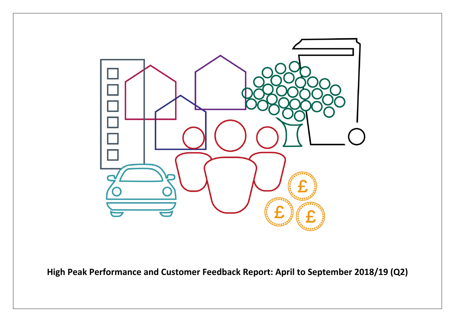

**High Peak Performance and Customer Feedback Report: April to September 2018/19 (Q2)**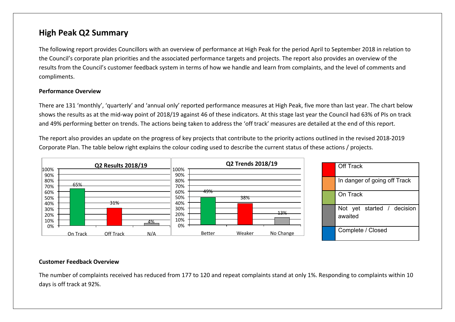## **High Peak Q2 Summary**

The following report provides Councillors with an overview of performance at High Peak for the period April to September 2018 in relation to the Council's corporate plan priorities and the associated performance targets and projects. The report also provides an overview of the results from the Council's customer feedback system in terms of how we handle and learn from complaints, and the level of comments and compliments.

#### **Performance Overview**

There are 131 'monthly', 'quarterly' and 'annual only' reported performance measures at High Peak, five more than last year. The chart below shows the results as at the mid-way point of 2018/19 against 46 of these indicators. At this stage last year the Council had 63% of PIs on track and 49% performing better on trends. The actions being taken to address the 'off track' measures are detailed at the end of this report.

The report also provides an update on the progress of key projects that contribute to the priority actions outlined in the revised 2018-2019 Corporate Plan. The table below right explains the colour coding used to describe the current status of these actions / projects.



#### **Customer Feedback Overview**

The number of complaints received has reduced from 177 to 120 and repeat complaints stand at only 1%. Responding to complaints within 10 days is off track at 92%.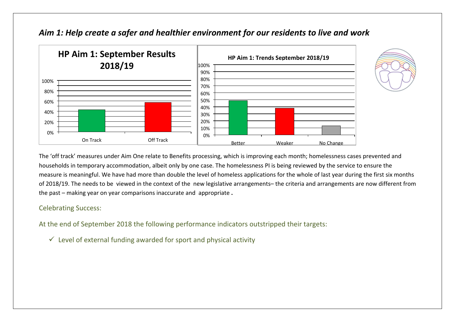

## *Aim 1: Help create a safer and healthier environment for our residents to live and work*



The 'off track' measures under Aim One relate to Benefits processing, which is improving each month; homelessness cases prevented and households in temporary accommodation, albeit only by one case. The homelessness PI is being reviewed by the service to ensure the measure is meaningful. We have had more than double the level of homeless applications for the whole of last year during the first six months of 2018/19. The needs to be viewed in the context of the new legislative arrangements– the criteria and arrangements are now different from the past – making year on year comparisons inaccurate and appropriate **.**

### Celebrating Success:

At the end of September 2018 the following performance indicators outstripped their targets:

 $\checkmark$  Level of external funding awarded for sport and physical activity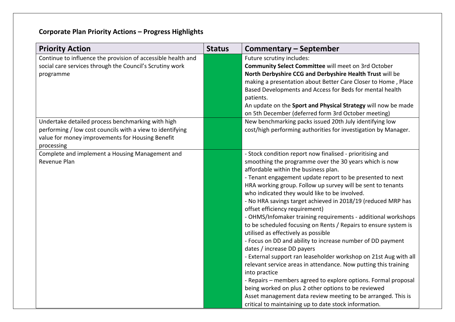# **Corporate Plan Priority Actions – Progress Highlights**

| <b>Priority Action</b>                                                                                                                                                           | <b>Status</b> | Commentary – September                                                                                                                                                                                                                                                                                                                                                                                                                                                                                                                                                                                                                                                                                                                                                                                                                                                                                                                                                                                                                                                                                                      |
|----------------------------------------------------------------------------------------------------------------------------------------------------------------------------------|---------------|-----------------------------------------------------------------------------------------------------------------------------------------------------------------------------------------------------------------------------------------------------------------------------------------------------------------------------------------------------------------------------------------------------------------------------------------------------------------------------------------------------------------------------------------------------------------------------------------------------------------------------------------------------------------------------------------------------------------------------------------------------------------------------------------------------------------------------------------------------------------------------------------------------------------------------------------------------------------------------------------------------------------------------------------------------------------------------------------------------------------------------|
| Continue to influence the provision of accessible health and<br>social care services through the Council's Scrutiny work<br>programme                                            |               | Future scrutiny includes:<br>Community Select Committee will meet on 3rd October<br>North Derbyshire CCG and Derbyshire Health Trust will be<br>making a presentation about Better Care Closer to Home, Place<br>Based Developments and Access for Beds for mental health<br>patients.<br>An update on the Sport and Physical Strategy will now be made<br>on 5th December (deferred form 3rd October meeting)                                                                                                                                                                                                                                                                                                                                                                                                                                                                                                                                                                                                                                                                                                              |
| Undertake detailed process benchmarking with high<br>performing / low cost councils with a view to identifying<br>value for money improvements for Housing Benefit<br>processing |               | New benchmarking packs issued 20th July identifying low<br>cost/high performing authorities for investigation by Manager.                                                                                                                                                                                                                                                                                                                                                                                                                                                                                                                                                                                                                                                                                                                                                                                                                                                                                                                                                                                                   |
| Complete and implement a Housing Management and<br>Revenue Plan                                                                                                                  |               | - Stock condition report now finalised - prioritising and<br>smoothing the programme over the 30 years which is now<br>affordable within the business plan.<br>- Tenant engagement update report to be presented to next<br>HRA working group. Follow up survey will be sent to tenants<br>who indicated they would like to be involved.<br>- No HRA savings target achieved in 2018/19 (reduced MRP has<br>offset efficiency requirement)<br>- OHMS/Infomaker training requirements - additional workshops<br>to be scheduled focusing on Rents / Repairs to ensure system is<br>utilised as effectively as possible<br>- Focus on DD and ability to increase number of DD payment<br>dates / increase DD payers<br>- External support ran leaseholder workshop on 21st Aug with all<br>relevant service areas in attendance. Now putting this training<br>into practice<br>- Repairs - members agreed to explore options. Formal proposal<br>being worked on plus 2 other options to be reviewed<br>Asset management data review meeting to be arranged. This is<br>critical to maintaining up to date stock information. |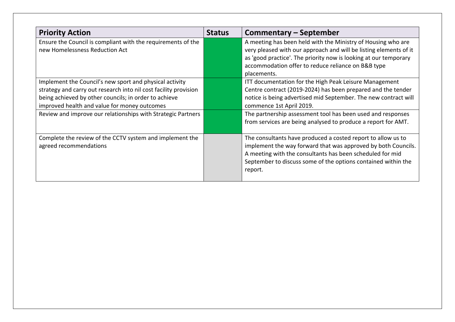| <b>Priority Action</b>                                                                                                                                                                                                                                                                               | <b>Status</b> | Commentary – September                                                                                                                                                                                                                                                                                                                                |
|------------------------------------------------------------------------------------------------------------------------------------------------------------------------------------------------------------------------------------------------------------------------------------------------------|---------------|-------------------------------------------------------------------------------------------------------------------------------------------------------------------------------------------------------------------------------------------------------------------------------------------------------------------------------------------------------|
| Ensure the Council is compliant with the requirements of the<br>new Homelessness Reduction Act                                                                                                                                                                                                       |               | A meeting has been held with the Ministry of Housing who are<br>very pleased with our approach and will be listing elements of it<br>as 'good practice'. The priority now is looking at our temporary<br>accommodation offer to reduce reliance on B&B type<br>placements.                                                                            |
| Implement the Council's new sport and physical activity<br>strategy and carry out research into nil cost facility provision<br>being achieved by other councils; in order to achieve<br>improved health and value for money outcomes<br>Review and improve our relationships with Strategic Partners |               | ITT documentation for the High Peak Leisure Management<br>Centre contract (2019-2024) has been prepared and the tender<br>notice is being advertised mid September. The new contract will<br>commence 1st April 2019.<br>The partnership assessment tool has been used and responses<br>from services are being analysed to produce a report for AMT. |
| Complete the review of the CCTV system and implement the<br>agreed recommendations                                                                                                                                                                                                                   |               | The consultants have produced a costed report to allow us to<br>implement the way forward that was approved by both Councils.<br>A meeting with the consultants has been scheduled for mid<br>September to discuss some of the options contained within the<br>report.                                                                                |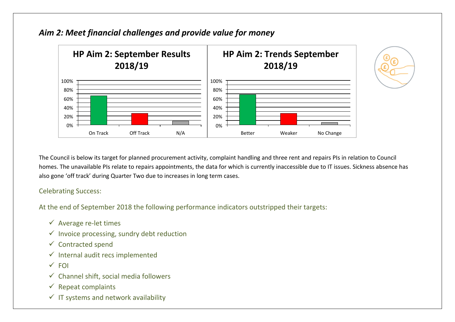

## *Aim 2: Meet financial challenges and provide value for money*

The Council is below its target for planned procurement activity, complaint handling and three rent and repairs PIs in relation to Council homes. The unavailable PIs relate to repairs appointments, the data for which is currently inaccessible due to IT issues. Sickness absence has also gone 'off track' during Quarter Two due to increases in long term cases.

#### Celebrating Success:

At the end of September 2018 the following performance indicators outstripped their targets:

- $\checkmark$  Average re-let times
- $\checkmark$  Invoice processing, sundry debt reduction
- $\checkmark$  Contracted spend
- $\checkmark$  Internal audit recs implemented
- $\times$  FOI
- $\checkmark$  Channel shift, social media followers
- $\checkmark$  Repeat complaints
- $\checkmark$  IT systems and network availability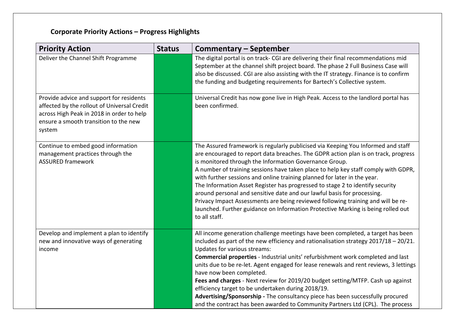# **Corporate Priority Actions – Progress Highlights**

| <b>Priority Action</b>                                                                                                                                                                  | <b>Status</b> | <b>Commentary - September</b>                                                                                                                                                                                                                                                                                                                                                                                                                                                                                                                                                                                                                                                                                                                           |
|-----------------------------------------------------------------------------------------------------------------------------------------------------------------------------------------|---------------|---------------------------------------------------------------------------------------------------------------------------------------------------------------------------------------------------------------------------------------------------------------------------------------------------------------------------------------------------------------------------------------------------------------------------------------------------------------------------------------------------------------------------------------------------------------------------------------------------------------------------------------------------------------------------------------------------------------------------------------------------------|
| Deliver the Channel Shift Programme                                                                                                                                                     |               | The digital portal is on track- CGI are delivering their final recommendations mid<br>September at the channel shift project board. The phase 2 Full Business Case will<br>also be discussed. CGI are also assisting with the IT strategy. Finance is to confirm<br>the funding and budgeting requirements for Bartech's Collective system.                                                                                                                                                                                                                                                                                                                                                                                                             |
| Provide advice and support for residents<br>affected by the rollout of Universal Credit<br>across High Peak in 2018 in order to help<br>ensure a smooth transition to the new<br>system |               | Universal Credit has now gone live in High Peak. Access to the landlord portal has<br>been confirmed.                                                                                                                                                                                                                                                                                                                                                                                                                                                                                                                                                                                                                                                   |
| Continue to embed good information<br>management practices through the<br><b>ASSURED framework</b>                                                                                      |               | The Assured framework is regularly publicised via Keeping You Informed and staff<br>are encouraged to report data breaches. The GDPR action plan is on track, progress<br>is monitored through the Information Governance Group.<br>A number of training sessions have taken place to help key staff comply with GDPR,<br>with further sessions and online training planned for later in the year.<br>The Information Asset Register has progressed to stage 2 to identify security<br>around personal and sensitive date and our lawful basis for processing.<br>Privacy Impact Assessments are being reviewed following training and will be re-<br>launched. Further guidance on Information Protective Marking is being rolled out<br>to all staff. |
| Develop and implement a plan to identify<br>new and innovative ways of generating<br>income                                                                                             |               | All income generation challenge meetings have been completed, a target has been<br>included as part of the new efficiency and rationalisation strategy $2017/18 - 20/21$ .<br>Updates for various streams:<br>Commercial properties - Industrial units' refurbishment work completed and last<br>units due to be re-let. Agent engaged for lease renewals and rent reviews, 3 lettings<br>have now been completed.<br>Fees and charges - Next review for 2019/20 budget setting/MTFP. Cash up against<br>efficiency target to be undertaken during 2018/19.<br>Advertising/Sponsorship - The consultancy piece has been successfully procured<br>and the contract has been awarded to Community Partners Ltd (CPL). The process                         |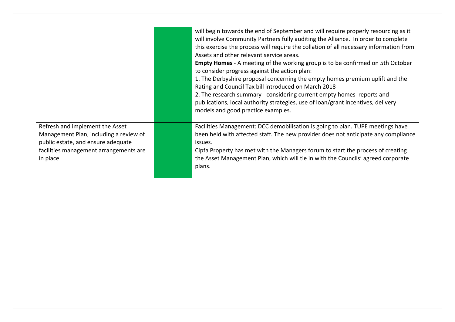|                                                                                                                                                                       | will begin towards the end of September and will require properly resourcing as it<br>will involve Community Partners fully auditing the Alliance. In order to complete<br>this exercise the process will require the collation of all necessary information from<br>Assets and other relevant service areas.<br><b>Empty Homes</b> - A meeting of the working group is to be confirmed on 5th October<br>to consider progress against the action plan:<br>1. The Derbyshire proposal concerning the empty homes premium uplift and the<br>Rating and Council Tax bill introduced on March 2018<br>2. The research summary - considering current empty homes reports and<br>publications, local authority strategies, use of loan/grant incentives, delivery<br>models and good practice examples. |
|-----------------------------------------------------------------------------------------------------------------------------------------------------------------------|----------------------------------------------------------------------------------------------------------------------------------------------------------------------------------------------------------------------------------------------------------------------------------------------------------------------------------------------------------------------------------------------------------------------------------------------------------------------------------------------------------------------------------------------------------------------------------------------------------------------------------------------------------------------------------------------------------------------------------------------------------------------------------------------------|
| Refresh and implement the Asset<br>Management Plan, including a review of<br>public estate, and ensure adequate<br>facilities management arrangements are<br>in place | Facilities Management: DCC demobilisation is going to plan. TUPE meetings have<br>been held with affected staff. The new provider does not anticipate any compliance<br>issues.<br>Cipfa Property has met with the Managers forum to start the process of creating<br>the Asset Management Plan, which will tie in with the Councils' agreed corporate<br>plans.                                                                                                                                                                                                                                                                                                                                                                                                                                   |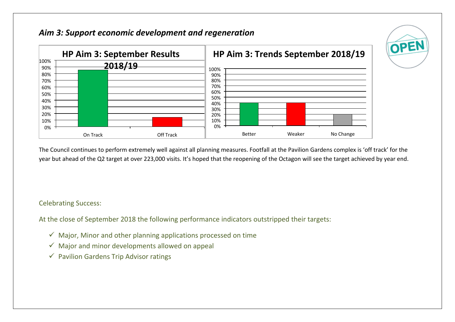## *Aim 3: Support economic development and regeneration*



The Council continues to perform extremely well against all planning measures. Footfall at the Pavilion Gardens complex is 'off track' for the year but ahead of the Q2 target at over 223,000 visits. It's hoped that the reopening of the Octagon will see the target achieved by year end.

OPEN

Celebrating Success:

At the close of September 2018 the following performance indicators outstripped their targets:

- $\checkmark$  Major, Minor and other planning applications processed on time
- $\checkmark$  Major and minor developments allowed on appeal
- $\checkmark$  Pavilion Gardens Trip Advisor ratings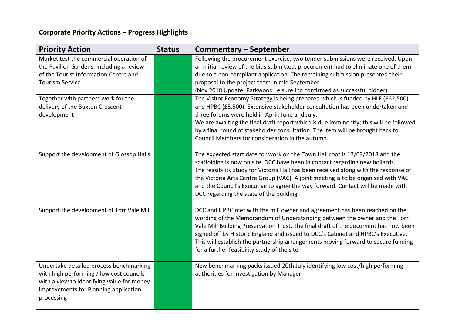# **Corporate Priority Actions – Progress Highlights**

| <b>Priority Action</b>                                                                                                                                                                   | <b>Status</b> | <b>Commentary - September</b>                                                                                                                                                                                                                                                                                                                                                                                                                                            |
|------------------------------------------------------------------------------------------------------------------------------------------------------------------------------------------|---------------|--------------------------------------------------------------------------------------------------------------------------------------------------------------------------------------------------------------------------------------------------------------------------------------------------------------------------------------------------------------------------------------------------------------------------------------------------------------------------|
| Market test the commercial operation of<br>the Pavilion Gardens, including a review<br>of the Tourist Information Centre and<br><b>Tourism Service</b>                                   |               | Following the procurement exercise, two tender submissions were received. Upon<br>an initial review of the bids submitted, procurement had to eliminate one of them<br>due to a non-compliant application. The remaining submission presented their<br>proposal to the project team in mid September.<br>(Nov 2018 Update: Parkwood Leisure Ltd confirmed as successful bidder)                                                                                          |
| Together with partners work for the<br>delivery of the Buxton Crescent<br>development                                                                                                    |               | The Visitor Economy Strategy is being prepared which is funded by HLF (£62,500)<br>and HPBC (£5,500). Extensive stakeholder consultation has been undertaken and<br>three forums were held in April, June and July.<br>We are awaiting the final draft report which is due imminently; this will be followed<br>by a final round of stakeholder consultation. The item will be brought back to<br>Council Members for consideration in the autumn.                       |
| Support the development of Glossop Halls                                                                                                                                                 |               | The expected start date for work on the Town Hall roof is 17/09/2018 and the<br>scaffolding is now on site. DCC have been in contact regarding new bollards.<br>The feasibility study for Victoria Hall has been received along with the response of<br>the Victoria Arts Centre Group (VAC). A joint meeting is to be organised with VAC<br>and the Council's Executive to agree the way forward. Contact will be made with<br>DCC regarding the state of the building. |
| Support the development of Torr Vale Mill                                                                                                                                                |               | DCC and HPBC met with the mill owner and agreement has been reached on the<br>wording of the Memorandum of Understanding between the owner and the Torr<br>Vale Mill Building Preservation Trust. The final draft of the document has now been<br>signed off by Historic England and issued to DCC's Cabinet and HPBC's Executive.<br>This will establish the partnership arrangements moving forward to secure funding<br>for a further feasibility study of the site.  |
| Undertake detailed process benchmarking<br>with high performing / low cost councils<br>with a view to identifying value for money<br>improvements for Planning application<br>processing |               | New benchmarking packs issued 20th July identifying low cost/high performing<br>authorities for investigation by Manager.                                                                                                                                                                                                                                                                                                                                                |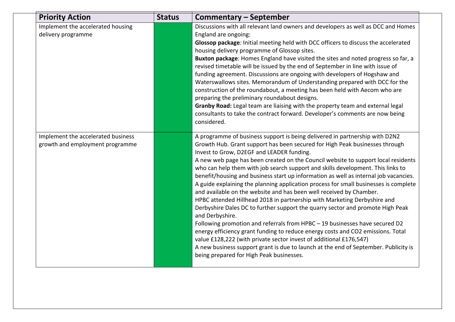| <b>Priority Action</b>                                                | <b>Status</b> | Commentary - September                                                                                                                                                                                                                                                                                                                                                                                                                                                                                                                                                                                                                                                                                                                                                                                                                                                                                                                                                                                                                                                                                                                                                                             |
|-----------------------------------------------------------------------|---------------|----------------------------------------------------------------------------------------------------------------------------------------------------------------------------------------------------------------------------------------------------------------------------------------------------------------------------------------------------------------------------------------------------------------------------------------------------------------------------------------------------------------------------------------------------------------------------------------------------------------------------------------------------------------------------------------------------------------------------------------------------------------------------------------------------------------------------------------------------------------------------------------------------------------------------------------------------------------------------------------------------------------------------------------------------------------------------------------------------------------------------------------------------------------------------------------------------|
| Implement the accelerated housing<br>delivery programme               |               | Discussions with all relevant land owners and developers as well as DCC and Homes<br>England are ongoing:<br>Glossop package: Initial meeting held with DCC officers to discuss the accelerated<br>housing delivery programme of Glossop sites.<br>Buxton package: Homes England have visited the sites and noted progress so far, a<br>revised timetable will be issued by the end of September in line with issue of<br>funding agreement. Discussions are ongoing with developers of Hogshaw and<br>Waterswallows sites. Memorandum of Understanding prepared with DCC for the<br>construction of the roundabout, a meeting has been held with Aecom who are<br>preparing the preliminary roundabout designs.<br>Granby Road: Legal team are liaising with the property team and external legal<br>consultants to take the contract forward. Developer's comments are now being<br>considered.                                                                                                                                                                                                                                                                                                  |
| Implement the accelerated business<br>growth and employment programme |               | A programme of business support is being delivered in partnership with D2N2<br>Growth Hub. Grant support has been secured for High Peak businesses through<br>Invest to Grow, D2EGF and LEADER funding.<br>A new web page has been created on the Council website to support local residents<br>who can help them with job search support and skills development. This links to<br>benefit/housing and business start up information as well as internal job vacancies.<br>A guide explaining the planning application process for small businesses is complete<br>and available on the website and has been well received by Chamber.<br>HPBC attended Hillhead 2018 in partnership with Marketing Derbyshire and<br>Derbyshire Dales DC to further support the quarry sector and promote High Peak<br>and Derbyshire.<br>Following promotion and referrals from HPBC - 19 businesses have secured D2<br>energy efficiency grant funding to reduce energy costs and CO2 emissions. Total<br>value £128,222 (with private sector invest of additional £176,547)<br>A new business support grant is due to launch at the end of September. Publicity is<br>being prepared for High Peak businesses. |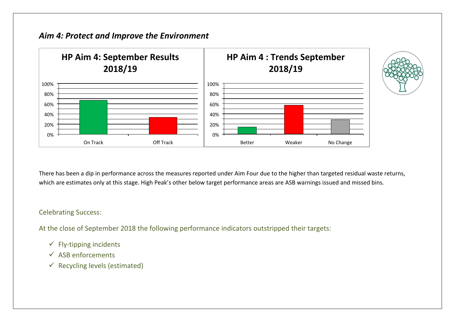## *Aim 4: Protect and Improve the Environment*



There has been a dip in performance across the measures reported under Aim Four due to the higher than targeted residual waste returns, which are estimates only at this stage. High Peak's other below target performance areas are ASB warnings issued and missed bins.

#### Celebrating Success:

At the close of September 2018 the following performance indicators outstripped their targets:

- $\checkmark$  Fly-tipping incidents
- $\checkmark$  ASB enforcements
- $\checkmark$  Recycling levels (estimated)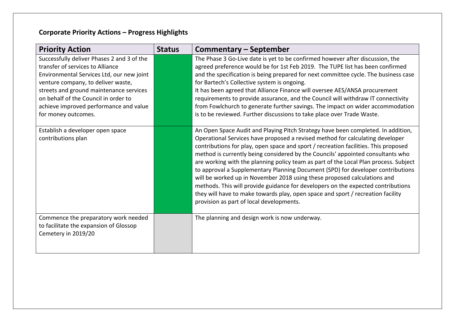# **Corporate Priority Actions – Progress Highlights**

| <b>Priority Action</b>                                                                                                                                                                                                                                                                                                | <b>Status</b> | <b>Commentary - September</b>                                                                                                                                                                                                                                                                                                                                                                                                                                                                                                                                                                                                                                                                                                                                                                                         |
|-----------------------------------------------------------------------------------------------------------------------------------------------------------------------------------------------------------------------------------------------------------------------------------------------------------------------|---------------|-----------------------------------------------------------------------------------------------------------------------------------------------------------------------------------------------------------------------------------------------------------------------------------------------------------------------------------------------------------------------------------------------------------------------------------------------------------------------------------------------------------------------------------------------------------------------------------------------------------------------------------------------------------------------------------------------------------------------------------------------------------------------------------------------------------------------|
| Successfully deliver Phases 2 and 3 of the<br>transfer of services to Alliance<br>Environmental Services Ltd, our new joint<br>venture company, to deliver waste,<br>streets and ground maintenance services<br>on behalf of the Council in order to<br>achieve improved performance and value<br>for money outcomes. |               | The Phase 3 Go-Live date is yet to be confirmed however after discussion, the<br>agreed preference would be for 1st Feb 2019. The TUPE list has been confirmed<br>and the specification is being prepared for next committee cycle. The business case<br>for Bartech's Collective system is ongoing.<br>It has been agreed that Alliance Finance will oversee AES/ANSA procurement<br>requirements to provide assurance, and the Council will withdraw IT connectivity<br>from Fowlchurch to generate further savings. The impact on wider accommodation<br>is to be reviewed. Further discussions to take place over Trade Waste.                                                                                                                                                                                    |
| Establish a developer open space<br>contributions plan                                                                                                                                                                                                                                                                |               | An Open Space Audit and Playing Pitch Strategy have been completed. In addition,<br>Operational Services have proposed a revised method for calculating developer<br>contributions for play, open space and sport / recreation facilities. This proposed<br>method is currently being considered by the Councils' appointed consultants who<br>are working with the planning policy team as part of the Local Plan process. Subject<br>to approval a Supplementary Planning Document (SPD) for developer contributions<br>will be worked up in November 2018 using these proposed calculations and<br>methods. This will provide guidance for developers on the expected contributions<br>they will have to make towards play, open space and sport / recreation facility<br>provision as part of local developments. |
| Commence the preparatory work needed<br>to facilitate the expansion of Glossop<br>Cemetery in 2019/20                                                                                                                                                                                                                 |               | The planning and design work is now underway.                                                                                                                                                                                                                                                                                                                                                                                                                                                                                                                                                                                                                                                                                                                                                                         |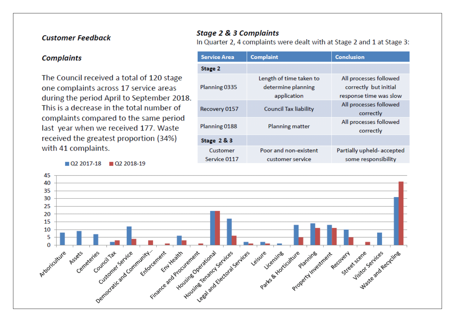### **Customer Feedback**

#### **Complaints**

The Council received a total of 120 stage one complaints across 17 service areas during the period April to September 2018. This is a decrease in the total number of complaints compared to the same period last year when we received 177. Waste received the greatest proportion (34%) with 41 complaints.

 $\Box$  Q2 2017-18  $\Box$  Q2 2018-19

### **Stage 2 & 3 Complaints**

In Quarter 2, 4 complaints were dealt with at Stage 2 and 1 at Stage 3:

| <b>Service Area</b>      | <b>Complaint</b>                                             | <b>Conclusion</b>                                                         |
|--------------------------|--------------------------------------------------------------|---------------------------------------------------------------------------|
| Stage 2                  |                                                              |                                                                           |
| Planning 0335            | Length of time taken to<br>determine planning<br>application | All processes followed<br>correctly but initial<br>response time was slow |
| Recovery 0157            | <b>Council Tax liability</b>                                 | All processes followed<br>correctly                                       |
| Planning 0188            | Planning matter                                              | All processes followed<br>correctly                                       |
| Stage 2 & 3              |                                                              |                                                                           |
| Customer<br>Service 0117 | Poor and non-existent<br>customer service                    | Partially upheld-accepted<br>some responsibility                          |

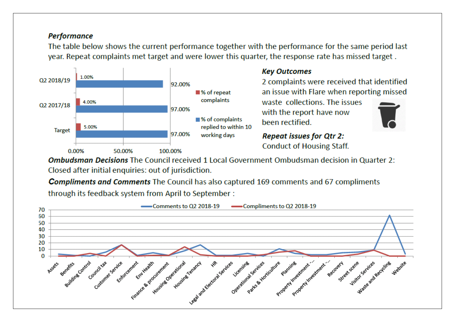### **Performance**

The table below shows the current performance together with the performance for the same period last year. Repeat complaints met target and were lower this quarter, the response rate has missed target.



### **Key Outcomes**

2 complaints were received that identified an issue with Flare when reporting missed

waste, collections. The issues with the report have now been rectified.

**Repeat issues for Qtr 2: Conduct of Housing Staff.** 

**Ombudsman Decisions** The Council received 1 Local Government Ombudsman decision in Quarter 2: Closed after initial enquiries: out of jurisdiction.

**Compliments and Comments** The Council has also captured 169 comments and 67 compliments through its feedback system from April to September:

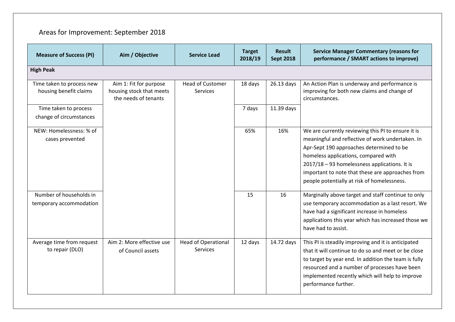# Areas for Improvement: September 2018

| <b>Measure of Success (PI)</b>                      | Aim / Objective                                                            | <b>Service Lead</b>                        | <b>Target</b><br>2018/19 | <b>Result</b><br><b>Sept 2018</b> | <b>Service Manager Commentary (reasons for</b><br>performance / SMART actions to improve)                                                                                                                                                                                                                                                      |
|-----------------------------------------------------|----------------------------------------------------------------------------|--------------------------------------------|--------------------------|-----------------------------------|------------------------------------------------------------------------------------------------------------------------------------------------------------------------------------------------------------------------------------------------------------------------------------------------------------------------------------------------|
| <b>High Peak</b>                                    |                                                                            |                                            |                          |                                   |                                                                                                                                                                                                                                                                                                                                                |
| Time taken to process new<br>housing benefit claims | Aim 1: Fit for purpose<br>housing stock that meets<br>the needs of tenants | <b>Head of Customer</b><br><b>Services</b> | 18 days                  | 26.13 days                        | An Action Plan is underway and performance is<br>improving for both new claims and change of<br>circumstances.                                                                                                                                                                                                                                 |
| Time taken to process<br>change of circumstances    |                                                                            |                                            | 7 days                   | 11.39 days                        |                                                                                                                                                                                                                                                                                                                                                |
| NEW: Homelessness: % of<br>cases prevented          |                                                                            |                                            | 65%                      | 16%                               | We are currently reviewing this PI to ensure it is<br>meaningful and reflective of work undertaken. In<br>Apr-Sept 190 approaches determined to be<br>homeless applications, compared with<br>2017/18 - 93 homelessness applications. It is<br>important to note that these are approaches from<br>people potentially at risk of homelessness. |
| Number of households in<br>temporary accommodation  |                                                                            |                                            | 15                       | 16                                | Marginally above target and staff continue to only<br>use temporary accommodation as a last resort. We<br>have had a significant increase in homeless<br>applications this year which has increased those we<br>have had to assist.                                                                                                            |
| Average time from request<br>to repair (DLO)        | Aim 2: More effective use<br>of Council assets                             | <b>Head of Operational</b><br>Services     | 12 days                  | 14.72 days                        | This PI is steadily improving and it is anticipated<br>that it will continue to do so and meet or be close<br>to target by year end. In addition the team is fully<br>resourced and a number of processes have been<br>implemented recently which will help to improve<br>performance further.                                                 |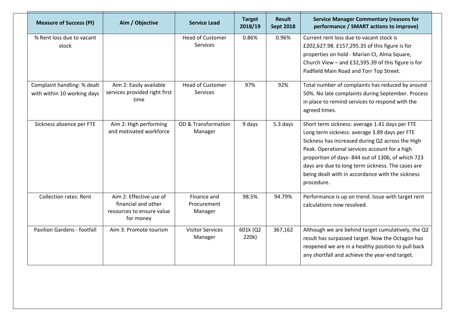| <b>Measure of Success (PI)</b>                             | Aim / Objective                                                                          | <b>Service Lead</b>                   | <b>Target</b><br>2018/19 | <b>Result</b><br><b>Sept 2018</b> | <b>Service Manager Commentary (reasons for</b><br>performance / SMART actions to improve)                                                                                                                                                                                                                                                                                       |
|------------------------------------------------------------|------------------------------------------------------------------------------------------|---------------------------------------|--------------------------|-----------------------------------|---------------------------------------------------------------------------------------------------------------------------------------------------------------------------------------------------------------------------------------------------------------------------------------------------------------------------------------------------------------------------------|
| % Rent loss due to vacant<br>stock                         |                                                                                          | <b>Head of Customer</b><br>Services   | 0.86%                    | 0.96%                             | Current rent loss due to vacant stock is<br>£202,627.98. £157,295.35 of this figure is for<br>properties on hold - Marian Ct, Alma Square,<br>Church View $-$ and £32,595.39 of this figure is for<br>Padfield Main Road and Torr Top Street.                                                                                                                                   |
| Complaint handling: % dealt<br>with within 10 working days | Aim 2: Easily available<br>services provided right first<br>time                         | <b>Head of Customer</b><br>Services   | 97%                      | 92%                               | Total number of complaints has reduced by around<br>50%. No late complaints during September. Process<br>in place to remind services to respond with the<br>agreed times.                                                                                                                                                                                                       |
| Sickness absence per FTE                                   | Aim 2: High performing<br>and motivated workforce                                        | OD & Transformation<br>Manager        | 9 days                   | 5.3 days                          | Short term sickness: average 1.41 days per FTE<br>Long term sickness: average 3.89 days per FTE<br>Sickness has increased during Q2 across the High<br>Peak. Operational services account for a high<br>proportion of days-844 out of 1306, of which 723<br>days are due to long term sickness. The cases are<br>being dealt with in accordance with the sickness<br>procedure. |
| <b>Collection rates: Rent</b>                              | Aim 2: Effective use of<br>financial and other<br>resources to ensure value<br>for money | Finance and<br>Procurement<br>Manager | 98.5%                    | 94.79%                            | Performance is up on trend. Issue with target rent<br>calculations now resolved.                                                                                                                                                                                                                                                                                                |
| Pavilion Gardens - footfall                                | Aim 3: Promote tourism                                                                   | <b>Visitor Services</b><br>Manager    | 601k (Q2<br>220k)        | 367,162                           | Although we are behind target cumulatively, the Q2<br>result has surpassed target. Now the Octagon has<br>reopened we are in a healthy position to pull back<br>any shortfall and achieve the year-end target.                                                                                                                                                                  |